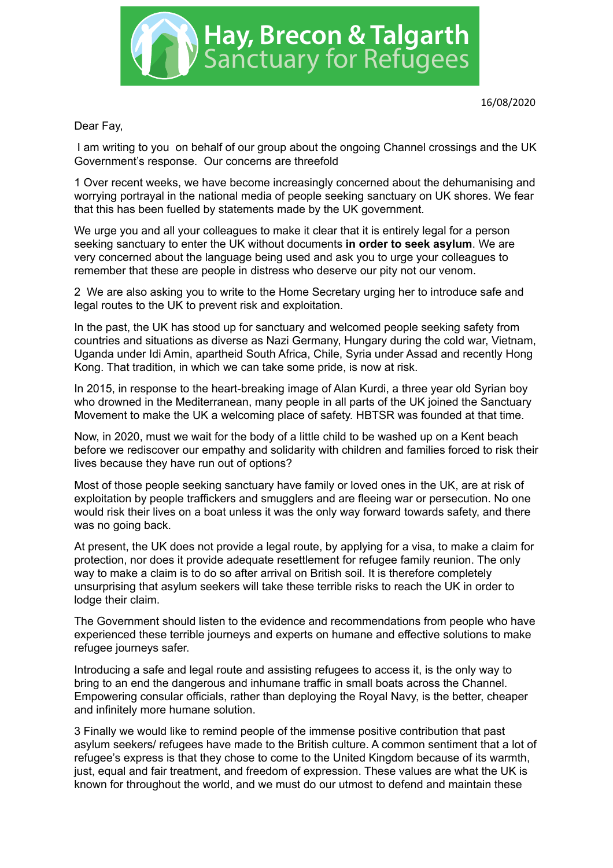

Dear Fay,

 I am writing to you on behalf of our group about the ongoing Channel crossings and the UK Government's response. Our concerns are threefold

1 Over recent weeks, we have become increasingly concerned about the dehumanising and worrying portrayal in the national media of people seeking sanctuary on UK shores. We fear that this has been fuelled by statements made by the UK government.

We urge you and all your colleagues to make it clear that it is entirely legal for a person seeking sanctuary to enter the UK without documents **in order to seek asylum**. We are very concerned about the language being used and ask you to urge your colleagues to remember that these are people in distress who deserve our pity not our venom.

2 We are also asking you to write to the Home Secretary urging her to introduce safe and legal routes to the UK to prevent risk and exploitation.

In the past, the UK has stood up for sanctuary and welcomed people seeking safety from countries and situations as diverse as Nazi Germany, Hungary during the cold war, Vietnam, Uganda under Idi Amin, apartheid South Africa, Chile, Syria under Assad and recently Hong Kong. That tradition, in which we can take some pride, is now at risk.

In 2015, in response to the heart-breaking image of Alan Kurdi, a three year old Syrian boy who drowned in the Mediterranean, many people in all parts of the UK joined the Sanctuary Movement to make the UK a welcoming place of safety. HBTSR was founded at that time.

Now, in 2020, must we wait for the body of a little child to be washed up on a Kent beach before we rediscover our empathy and solidarity with children and families forced to risk their lives because they have run out of options?

Most of those people seeking sanctuary have family or loved ones in the UK, are at risk of exploitation by people traffickers and smugglers and are fleeing war or persecution. No one would risk their lives on a boat unless it was the only way forward towards safety, and there was no going back.

At present, the UK does not provide a legal route, by applying for a visa, to make a claim for protection, nor does it provide adequate resettlement for refugee family reunion. The only way to make a claim is to do so after arrival on British soil. It is therefore completely unsurprising that asylum seekers will take these terrible risks to reach the UK in order to lodge their claim.

The Government should listen to the evidence and recommendations from people who have experienced these terrible journeys and experts on humane and effective solutions to make refugee journeys safer.

Introducing a safe and legal route and assisting refugees to access it, is the only way to bring to an end the dangerous and inhumane traffic in small boats across the Channel. Empowering consular officials, rather than deploying the Royal Navy, is the better, cheaper and infinitely more humane solution.

3 Finally we would like to remind people of the immense positive contribution that past asylum seekers/ refugees have made to the British culture. A common sentiment that a lot of refugee's express is that they chose to come to the United Kingdom because of its warmth, just, equal and fair treatment, and freedom of expression. These values are what the UK is known for throughout the world, and we must do our utmost to defend and maintain these